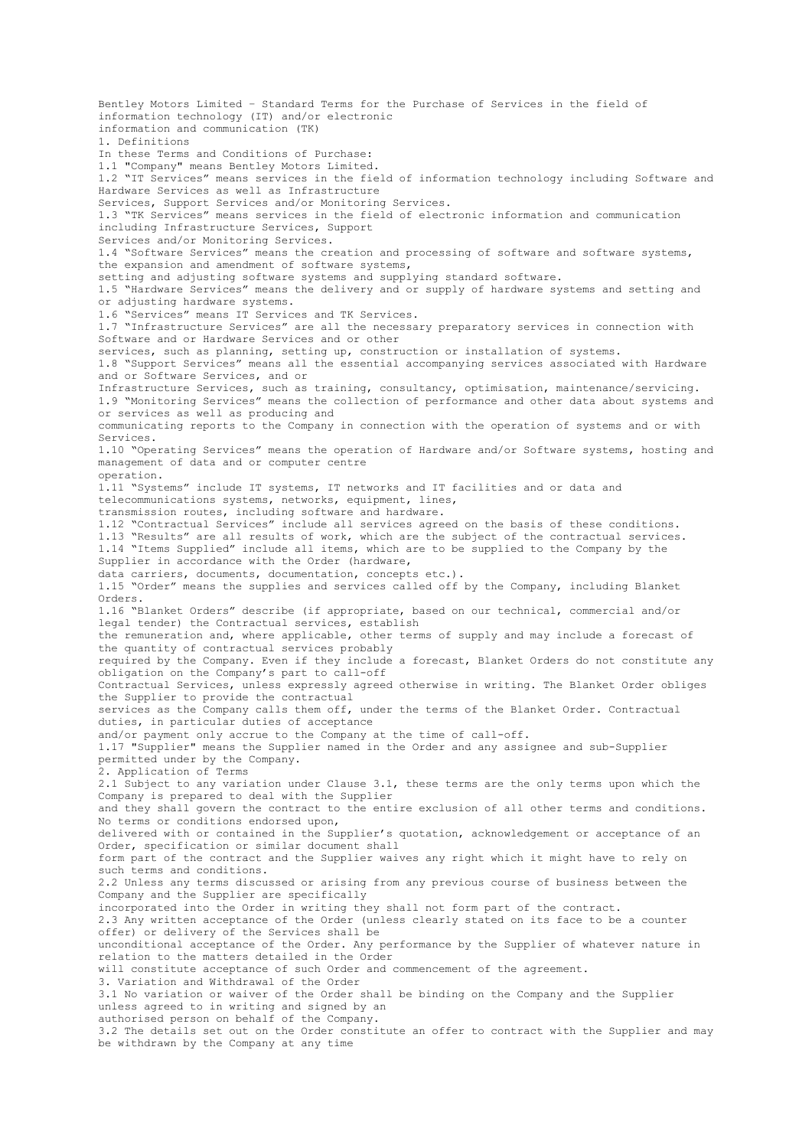Bentley Motors Limited – Standard Terms for the Purchase of Services in the field of information technology (IT) and/or electronic information and communication (TK) 1. Definitions In these Terms and Conditions of Purchase: 1.1 "Company" means Bentley Motors Limited. 1.2 "IT Services" means services in the field of information technology including Software and Hardware Services as well as Infrastructure Services, Support Services and/or Monitoring Services. 1.3 "TK Services" means services in the field of electronic information and communication including Infrastructure Services, Support Services and/or Monitoring Services. 1.4 "Software Services" means the creation and processing of software and software systems, the expansion and amendment of software systems, setting and adjusting software systems and supplying standard software. 1.5 "Hardware Services" means the delivery and or supply of hardware systems and setting and or adjusting hardware systems. 1.6 "Services" means IT Services and TK Services. 1.7 "Infrastructure Services" are all the necessary preparatory services in connection with Software and or Hardware Services and or other services, such as planning, setting up, construction or installation of systems. 1.8 "Support Services" means all the essential accompanying services associated with Hardware and or Software Services, and or Infrastructure Services, such as training, consultancy, optimisation, maintenance/servicing. 1.9 "Monitoring Services" means the collection of performance and other data about systems and or services as well as producing and communicating reports to the Company in connection with the operation of systems and or with Services. 1.10 "Operating Services" means the operation of Hardware and/or Software systems, hosting and management of data and or computer centre operation. 1.11 "Systems" include IT systems, IT networks and IT facilities and or data and telecommunications systems, networks, equipment, lines, transmission routes, including software and hardware. 1.12 "Contractual Services" include all services agreed on the basis of these conditions. 1.13 "Results" are all results of work, which are the subject of the contractual services. 1.14 "Items Supplied" include all items, which are to be supplied to the Company by the Supplier in accordance with the Order (hardware, data carriers, documents, documentation, concepts etc.). 1.15 "Order" means the supplies and services called off by the Company, including Blanket Orders. 1.16 "Blanket Orders" describe (if appropriate, based on our technical, commercial and/or legal tender) the Contractual services, establish the remuneration and, where applicable, other terms of supply and may include a forecast of the quantity of contractual services probably required by the Company. Even if they include a forecast, Blanket Orders do not constitute any obligation on the Company's part to call-off Contractual Services, unless expressly agreed otherwise in writing. The Blanket Order obliges the Supplier to provide the contractual services as the Company calls them off, under the terms of the Blanket Order. Contractual duties, in particular duties of acceptance and/or payment only accrue to the Company at the time of call-off. 1.17 "Supplier" means the Supplier named in the Order and any assignee and sub-Supplier permitted under by the Company. 2. Application of Terms 2.1 Subject to any variation under Clause 3.1, these terms are the only terms upon which the Company is prepared to deal with the Supplier and they shall govern the contract to the entire exclusion of all other terms and conditions. No terms or conditions endorsed upon, delivered with or contained in the Supplier's quotation, acknowledgement or acceptance of an Order, specification or similar document shall form part of the contract and the Supplier waives any right which it might have to rely on such terms and conditions. 2.2 Unless any terms discussed or arising from any previous course of business between the Company and the Supplier are specifically incorporated into the Order in writing they shall not form part of the contract. 2.3 Any written acceptance of the Order (unless clearly stated on its face to be a counter offer) or delivery of the Services shall be unconditional acceptance of the Order. Any performance by the Supplier of whatever nature in relation to the matters detailed in the Order will constitute acceptance of such Order and commencement of the agreement. 3. Variation and Withdrawal of the Order 3.1 No variation or waiver of the Order shall be binding on the Company and the Supplier unless agreed to in writing and signed by an authorised person on behalf of the Company. 3.2 The details set out on the Order constitute an offer to contract with the Supplier and may be withdrawn by the Company at any time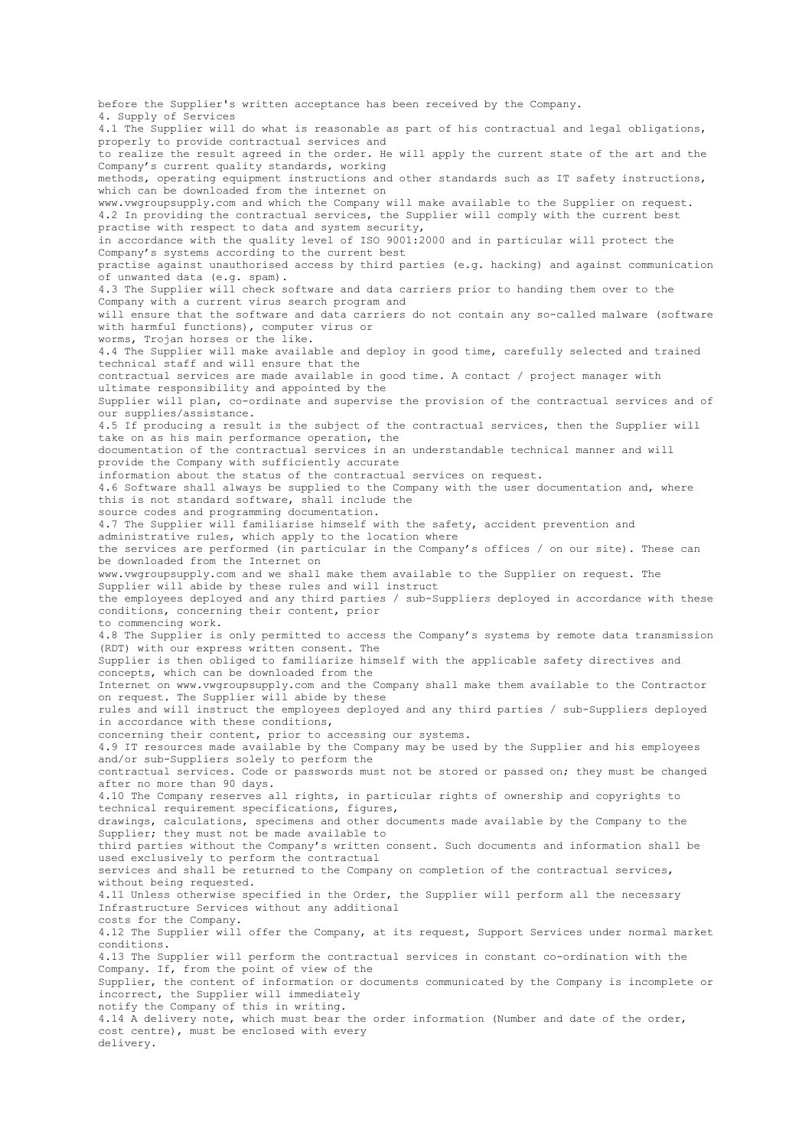before the Supplier's written acceptance has been received by the Company. 4. Supply of Services 4.1 The Supplier will do what is reasonable as part of his contractual and legal obligations, properly to provide contractual services and to realize the result agreed in the order. He will apply the current state of the art and the Company's current quality standards, working methods, operating equipment instructions and other standards such as IT safety instructions, which can be downloaded from the internet on www.vwgroupsupply.com and which the Company will make available to the Supplier on request. 4.2 In providing the contractual services, the Supplier will comply with the current best practise with respect to data and system security, in accordance with the quality level of ISO 9001:2000 and in particular will protect the Company's systems according to the current best practise against unauthorised access by third parties (e.g. hacking) and against communication of unwanted data (e.g. spam). 4.3 The Supplier will check software and data carriers prior to handing them over to the Company with a current virus search program and will ensure that the software and data carriers do not contain any so-called malware (software with harmful functions), computer virus or worms, Trojan horses or the like. 4.4 The Supplier will make available and deploy in good time, carefully selected and trained technical staff and will ensure that the contractual services are made available in good time. A contact / project manager with ultimate responsibility and appointed by the Supplier will plan, co-ordinate and supervise the provision of the contractual services and of our supplies/assistance. 4.5 If producing a result is the subject of the contractual services, then the Supplier will take on as his main performance operation, the documentation of the contractual services in an understandable technical manner and will provide the Company with sufficiently accurate information about the status of the contractual services on request. 4.6 Software shall always be supplied to the Company with the user documentation and, where this is not standard software, shall include the source codes and programming documentation. 4.7 The Supplier will familiarise himself with the safety, accident prevention and administrative rules, which apply to the location where the services are performed (in particular in the Company's offices / on our site). These can be downloaded from the Internet on www.vwgroupsupply.com and we shall make them available to the Supplier on request. The Supplier will abide by these rules and will instruct the employees deployed and any third parties / sub-Suppliers deployed in accordance with these conditions, concerning their content, prior to commencing work. 4.8 The Supplier is only permitted to access the Company's systems by remote data transmission (RDT) with our express written consent. The Supplier is then obliged to familiarize himself with the applicable safety directives and concepts, which can be downloaded from the Internet on www.vwgroupsupply.com and the Company shall make them available to the Contractor on request. The Supplier will abide by these rules and will instruct the employees deployed and any third parties / sub-Suppliers deployed in accordance with these conditions, concerning their content, prior to accessing our systems. 4.9 IT resources made available by the Company may be used by the Supplier and his employees and/or sub-Suppliers solely to perform the contractual services. Code or passwords must not be stored or passed on; they must be changed after no more than 90 days. 4.10 The Company reserves all rights, in particular rights of ownership and copyrights to technical requirement specifications, figures, drawings, calculations, specimens and other documents made available by the Company to the Supplier; they must not be made available to third parties without the Company's written consent. Such documents and information shall be used exclusively to perform the contractual services and shall be returned to the Company on completion of the contractual services, without being requested. 4.11 Unless otherwise specified in the Order, the Supplier will perform all the necessary Infrastructure Services without any additional costs for the Company. 4.12 The Supplier will offer the Company, at its request, Support Services under normal market conditions. 4.13 The Supplier will perform the contractual services in constant co-ordination with the Company. If, from the point of view of the Supplier, the content of information or documents communicated by the Company is incomplete or incorrect, the Supplier will immediately notify the Company of this in writing. 4.14 A delivery note, which must bear the order information (Number and date of the order, cost centre), must be enclosed with every delivery.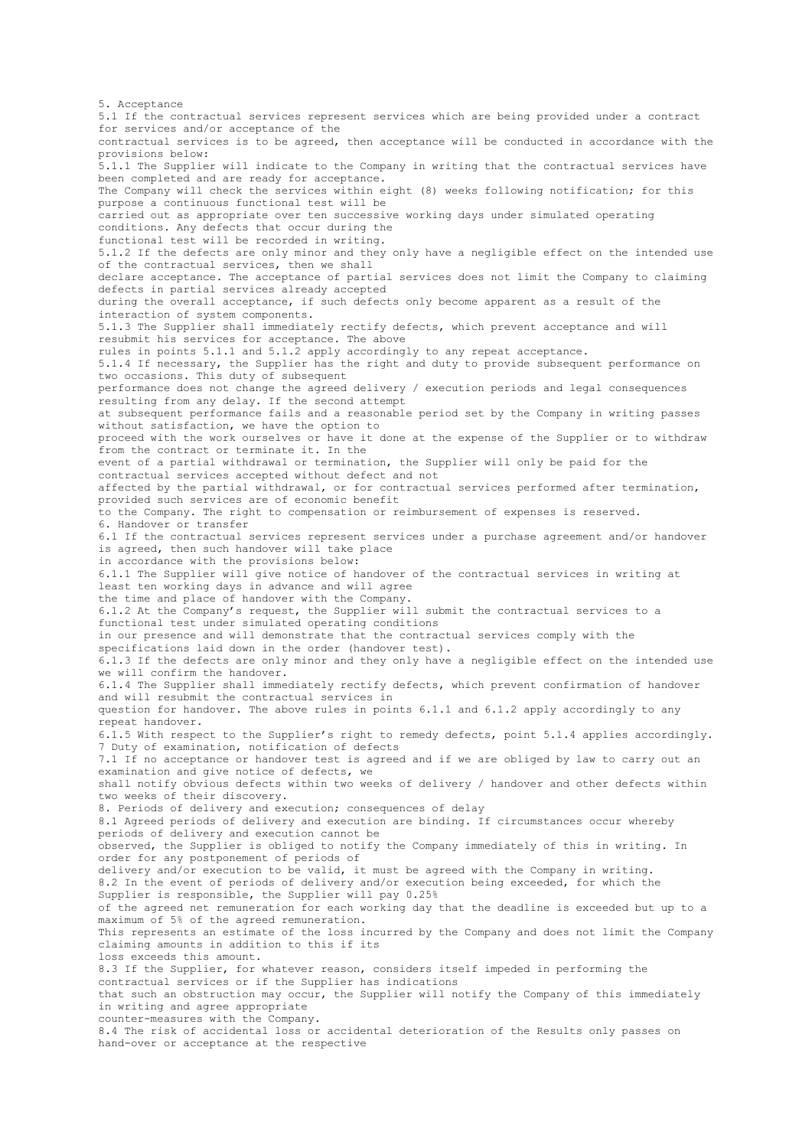5. Acceptance 5.1 If the contractual services represent services which are being provided under a contract for services and/or acceptance of the contractual services is to be agreed, then acceptance will be conducted in accordance with the provisions below: 5.1.1 The Supplier will indicate to the Company in writing that the contractual services have been completed and are ready for acceptance. The Company will check the services within eight (8) weeks following notification; for this purpose a continuous functional test will be carried out as appropriate over ten successive working days under simulated operating conditions. Any defects that occur during the functional test will be recorded in writing. 5.1.2 If the defects are only minor and they only have a negligible effect on the intended use of the contractual services, then we shall declare acceptance. The acceptance of partial services does not limit the Company to claiming defects in partial services already accepted during the overall acceptance, if such defects only become apparent as a result of the interaction of system components. 5.1.3 The Supplier shall immediately rectify defects, which prevent acceptance and will resubmit his services for acceptance. The above rules in points 5.1.1 and 5.1.2 apply accordingly to any repeat acceptance. 5.1.4 If necessary, the Supplier has the right and duty to provide subsequent performance on two occasions. This duty of subsequent performance does not change the agreed delivery / execution periods and legal consequences resulting from any delay. If the second attempt at subsequent performance fails and a reasonable period set by the Company in writing passes without satisfaction, we have the option to proceed with the work ourselves or have it done at the expense of the Supplier or to withdraw from the contract or terminate it. In the event of a partial withdrawal or termination, the Supplier will only be paid for the contractual services accepted without defect and not affected by the partial withdrawal, or for contractual services performed after termination, provided such services are of economic benefit to the Company. The right to compensation or reimbursement of expenses is reserved. 6. Handover or transfer 6.1 If the contractual services represent services under a purchase agreement and/or handover is agreed, then such handover will take place in accordance with the provisions below: 6.1.1 The Supplier will give notice of handover of the contractual services in writing at least ten working days in advance and will agree the time and place of handover with the Company. 6.1.2 At the Company's request, the Supplier will submit the contractual services to a functional test under simulated operating conditions in our presence and will demonstrate that the contractual services comply with the specifications laid down in the order (handover test). 6.1.3 If the defects are only minor and they only have a negligible effect on the intended use we will confirm the handover. 6.1.4 The Supplier shall immediately rectify defects, which prevent confirmation of handover and will resubmit the contractual services in question for handover. The above rules in points 6.1.1 and 6.1.2 apply accordingly to any repeat handover. 6.1.5 With respect to the Supplier's right to remedy defects, point 5.1.4 applies accordingly. 7 Duty of examination, notification of defects 7.1 If no acceptance or handover test is agreed and if we are obliged by law to carry out an examination and give notice of defects, we shall notify obvious defects within two weeks of delivery / handover and other defects within two weeks of their discovery. 8. Periods of delivery and execution; consequences of delay 8.1 Agreed periods of delivery and execution are binding. If circumstances occur whereby periods of delivery and execution cannot be observed, the Supplier is obliged to notify the Company immediately of this in writing. In order for any postponement of periods of delivery and/or execution to be valid, it must be agreed with the Company in writing. 8.2 In the event of periods of delivery and/or execution being exceeded, for which the Supplier is responsible, the Supplier will pay 0.25% of the agreed net remuneration for each working day that the deadline is exceeded but up to a maximum of 5% of the agreed remuneration. This represents an estimate of the loss incurred by the Company and does not limit the Company claiming amounts in addition to this if its loss exceeds this amount. 8.3 If the Supplier, for whatever reason, considers itself impeded in performing the contractual services or if the Supplier has indications that such an obstruction may occur, the Supplier will notify the Company of this immediately in writing and agree appropriate counter-measures with the Company. 8.4 The risk of accidental loss or accidental deterioration of the Results only passes on hand-over or acceptance at the respective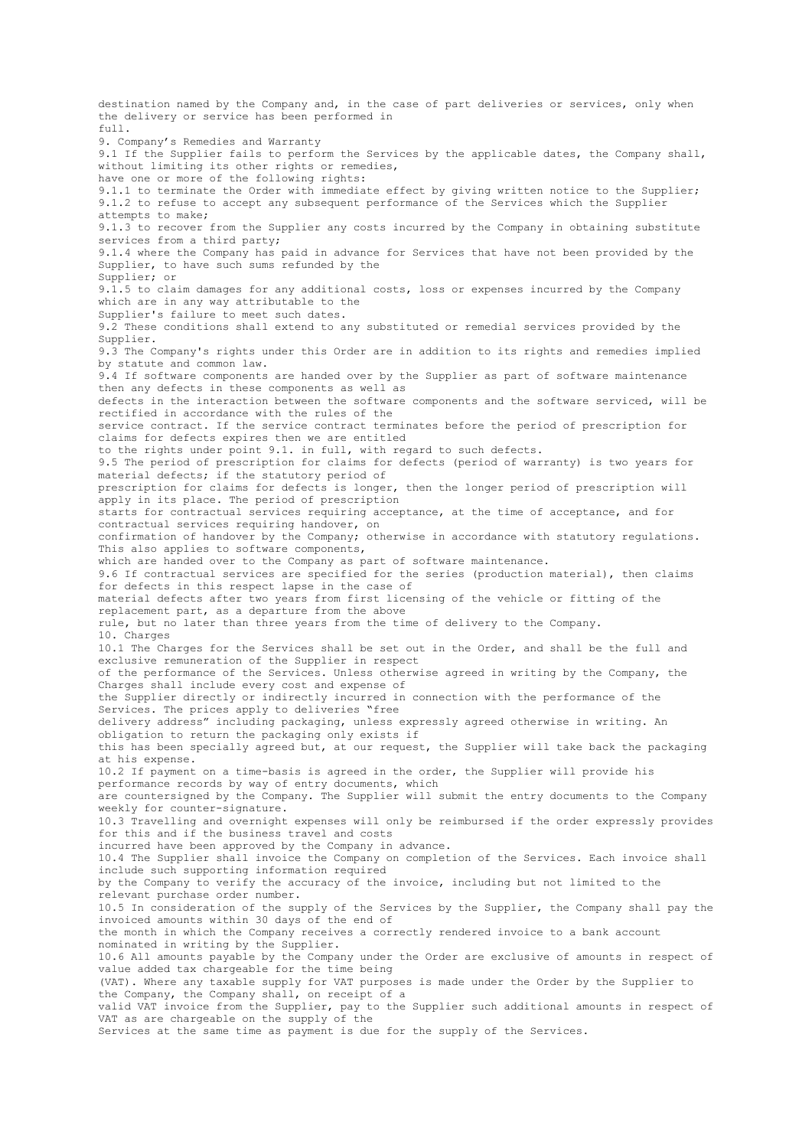destination named by the Company and, in the case of part deliveries or services, only when the delivery or service has been performed in  $f_{11}$ 11. 9. Company's Remedies and Warranty 9.1 If the Supplier fails to perform the Services by the applicable dates, the Company shall, without limiting its other rights or remedies, have one or more of the following rights: 9.1.1 to terminate the Order with immediate effect by giving written notice to the Supplier; 9.1.2 to refuse to accept any subsequent performance of the Services which the Supplier attempts to make; 9.1.3 to recover from the Supplier any costs incurred by the Company in obtaining substitute services from a third party; 9.1.4 where the Company has paid in advance for Services that have not been provided by the Supplier, to have such sums refunded by the Supplier; or 9.1.5 to claim damages for any additional costs, loss or expenses incurred by the Company which are in any way attributable to the Supplier's failure to meet such dates. 9.2 These conditions shall extend to any substituted or remedial services provided by the Supplier. 9.3 The Company's rights under this Order are in addition to its rights and remedies implied by statute and common law. 9.4 If software components are handed over by the Supplier as part of software maintenance then any defects in these components as well as defects in the interaction between the software components and the software serviced, will be rectified in accordance with the rules of the service contract. If the service contract terminates before the period of prescription for claims for defects expires then we are entitled to the rights under point 9.1. in full, with regard to such defects. 9.5 The period of prescription for claims for defects (period of warranty) is two years for material defects; if the statutory period of prescription for claims for defects is longer, then the longer period of prescription will apply in its place. The period of prescription starts for contractual services requiring acceptance, at the time of acceptance, and for contractual services requiring handover, on confirmation of handover by the Company; otherwise in accordance with statutory regulations. This also applies to software components, which are handed over to the Company as part of software maintenance. 9.6 If contractual services are specified for the series (production material), then claims for defects in this respect lapse in the case of material defects after two years from first licensing of the vehicle or fitting of the replacement part, as a departure from the above rule, but no later than three years from the time of delivery to the Company. 10. Charges 10.1 The Charges for the Services shall be set out in the Order, and shall be the full and exclusive remuneration of the Supplier in respect of the performance of the Services. Unless otherwise agreed in writing by the Company, the Charges shall include every cost and expense of the Supplier directly or indirectly incurred in connection with the performance of the Services. The prices apply to deliveries "free delivery address" including packaging, unless expressly agreed otherwise in writing. An obligation to return the packaging only exists if this has been specially agreed but, at our request, the Supplier will take back the packaging at his expense. 10.2 If payment on a time-basis is agreed in the order, the Supplier will provide his performance records by way of entry documents, which are countersigned by the Company. The Supplier will submit the entry documents to the Company weekly for counter-signature. 10.3 Travelling and overnight expenses will only be reimbursed if the order expressly provides for this and if the business travel and costs incurred have been approved by the Company in advance. 10.4 The Supplier shall invoice the Company on completion of the Services. Each invoice shall include such supporting information required by the Company to verify the accuracy of the invoice, including but not limited to the relevant purchase order number. 10.5 In consideration of the supply of the Services by the Supplier, the Company shall pay the invoiced amounts within 30 days of the end of the month in which the Company receives a correctly rendered invoice to a bank account nominated in writing by the Supplier. 10.6 All amounts payable by the Company under the Order are exclusive of amounts in respect of value added tax chargeable for the time being (VAT). Where any taxable supply for VAT purposes is made under the Order by the Supplier to the Company, the Company shall, on receipt of a valid VAT invoice from the Supplier, pay to the Supplier such additional amounts in respect of VAT as are chargeable on the supply of the Services at the same time as payment is due for the supply of the Services.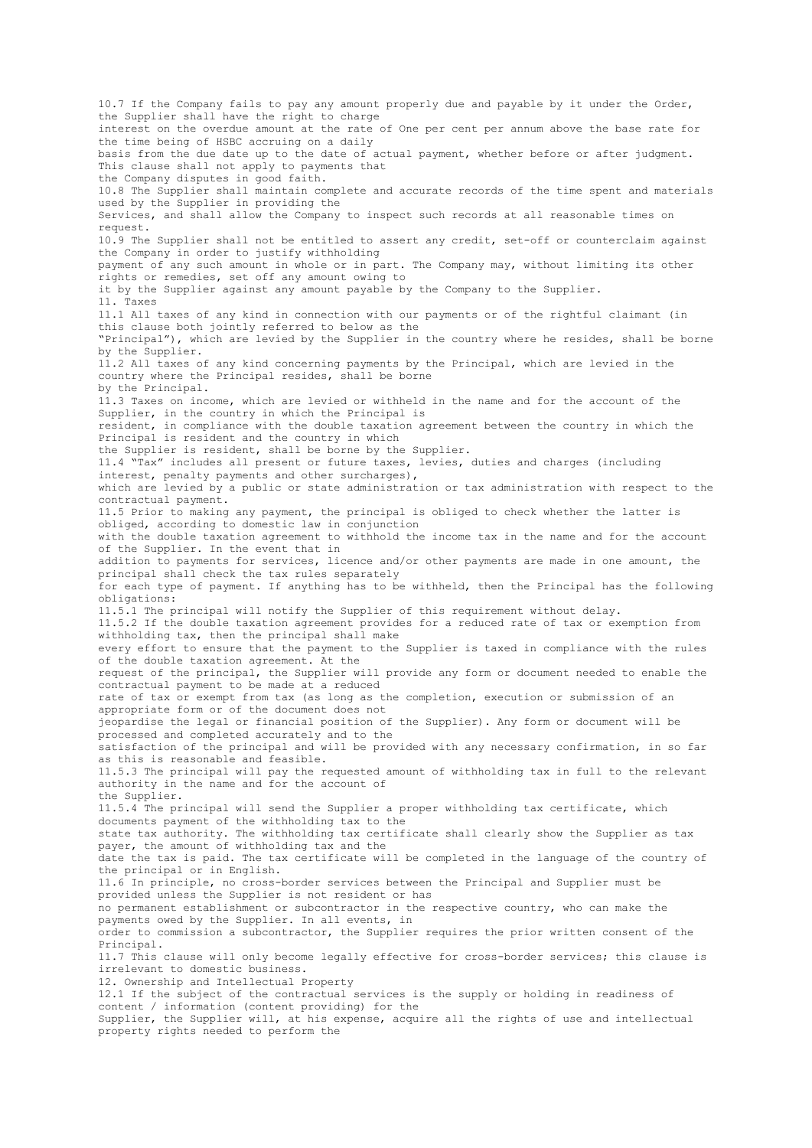10.7 If the Company fails to pay any amount properly due and payable by it under the Order, the Supplier shall have the right to charge interest on the overdue amount at the rate of One per cent per annum above the base rate for the time being of HSBC accruing on a daily basis from the due date up to the date of actual payment, whether before or after judgment. This clause shall not apply to payments that the Company disputes in good faith. 10.8 The Supplier shall maintain complete and accurate records of the time spent and materials used by the Supplier in providing the Services, and shall allow the Company to inspect such records at all reasonable times on request. 10.9 The Supplier shall not be entitled to assert any credit, set-off or counterclaim against the Company in order to justify withholding payment of any such amount in whole or in part. The Company may, without limiting its other rights or remedies, set off any amount owing to it by the Supplier against any amount payable by the Company to the Supplier. 11. Taxes 11.1 All taxes of any kind in connection with our payments or of the rightful claimant (in this clause both jointly referred to below as the "Principal"), which are levied by the Supplier in the country where he resides, shall be borne by the Supplier. 11.2 All taxes of any kind concerning payments by the Principal, which are levied in the country where the Principal resides, shall be borne by the Principal. 11.3 Taxes on income, which are levied or withheld in the name and for the account of the Supplier, in the country in which the Principal is resident, in compliance with the double taxation agreement between the country in which the Principal is resident and the country in which the Supplier is resident, shall be borne by the Supplier. 11.4 "Tax" includes all present or future taxes, levies, duties and charges (including interest, penalty payments and other surcharges), which are levied by a public or state administration or tax administration with respect to the contractual payment. 11.5 Prior to making any payment, the principal is obliged to check whether the latter is obliged, according to domestic law in conjunction with the double taxation agreement to withhold the income tax in the name and for the account of the Supplier. In the event that in addition to payments for services, licence and/or other payments are made in one amount, the principal shall check the tax rules separately for each type of payment. If anything has to be withheld, then the Principal has the following obligations: 11.5.1 The principal will notify the Supplier of this requirement without delay. 11.5.2 If the double taxation agreement provides for a reduced rate of tax or exemption from withholding tax, then the principal shall make every effort to ensure that the payment to the Supplier is taxed in compliance with the rules of the double taxation agreement. At the request of the principal, the Supplier will provide any form or document needed to enable the contractual payment to be made at a reduced rate of tax or exempt from tax (as long as the completion, execution or submission of an appropriate form or of the document does not jeopardise the legal or financial position of the Supplier). Any form or document will be processed and completed accurately and to the satisfaction of the principal and will be provided with any necessary confirmation, in so far as this is reasonable and feasible. 11.5.3 The principal will pay the requested amount of withholding tax in full to the relevant authority in the name and for the account of the Supplier. 11.5.4 The principal will send the Supplier a proper withholding tax certificate, which documents payment of the withholding tax to the state tax authority. The withholding tax certificate shall clearly show the Supplier as tax payer, the amount of withholding tax and the date the tax is paid. The tax certificate will be completed in the language of the country of the principal or in English. 11.6 In principle, no cross-border services between the Principal and Supplier must be provided unless the Supplier is not resident or has no permanent establishment or subcontractor in the respective country, who can make the payments owed by the Supplier. In all events, in order to commission a subcontractor, the Supplier requires the prior written consent of the Principal. 11.7 This clause will only become legally effective for cross-border services; this clause is irrelevant to domestic business. 12. Ownership and Intellectual Property 12.1 If the subject of the contractual services is the supply or holding in readiness of content / information (content providing) for the Supplier, the Supplier will, at his expense, acquire all the rights of use and intellectual property rights needed to perform the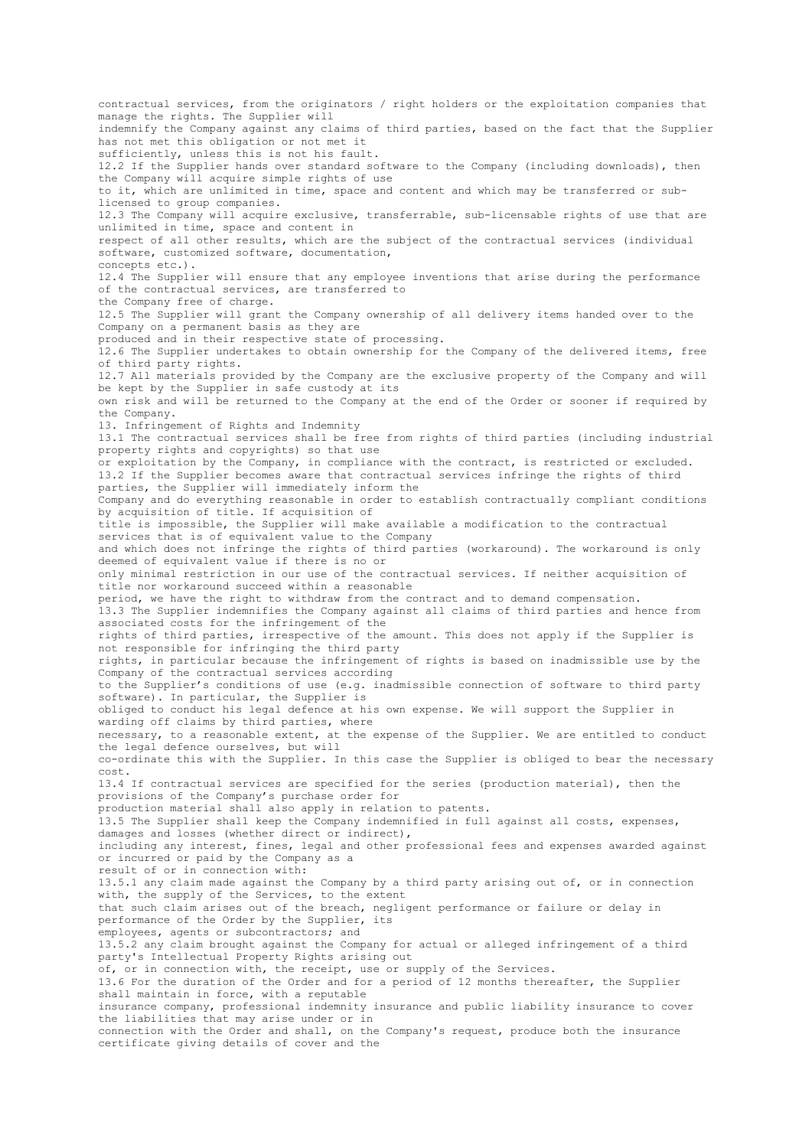contractual services, from the originators / right holders or the exploitation companies that manage the rights. The Supplier will indemnify the Company against any claims of third parties, based on the fact that the Supplier has not met this obligation or not met it sufficiently, unless this is not his fault. 12.2 If the Supplier hands over standard software to the Company (including downloads), then the Company will acquire simple rights of use to it, which are unlimited in time, space and content and which may be transferred or sublicensed to group companies. 12.3 The Company will acquire exclusive, transferrable, sub-licensable rights of use that are unlimited in time, space and content in respect of all other results, which are the subject of the contractual services (individual software, customized software, documentation, concepts etc.). 12.4 The Supplier will ensure that any employee inventions that arise during the performance of the contractual services, are transferred to the Company free of charge. 12.5 The Supplier will grant the Company ownership of all delivery items handed over to the Company on a permanent basis as they are produced and in their respective state of processing. 12.6 The Supplier undertakes to obtain ownership for the Company of the delivered items, free of third party rights. 12.7 All materials provided by the Company are the exclusive property of the Company and will be kept by the Supplier in safe custody at its own risk and will be returned to the Company at the end of the Order or sooner if required by the Company. 13. Infringement of Rights and Indemnity 13.1 The contractual services shall be free from rights of third parties (including industrial property rights and copyrights) so that use or exploitation by the Company, in compliance with the contract, is restricted or excluded. 13.2 If the Supplier becomes aware that contractual services infringe the rights of third parties, the Supplier will immediately inform the Company and do everything reasonable in order to establish contractually compliant conditions by acquisition of title. If acquisition of title is impossible, the Supplier will make available a modification to the contractual services that is of equivalent value to the Company and which does not infringe the rights of third parties (workaround). The workaround is only deemed of equivalent value if there is no or only minimal restriction in our use of the contractual services. If neither acquisition of title nor workaround succeed within a reasonable period, we have the right to withdraw from the contract and to demand compensation. 13.3 The Supplier indemnifies the Company against all claims of third parties and hence from associated costs for the infringement of the rights of third parties, irrespective of the amount. This does not apply if the Supplier is not responsible for infringing the third party rights, in particular because the infringement of rights is based on inadmissible use by the Company of the contractual services according to the Supplier's conditions of use (e.g. inadmissible connection of software to third party software). In particular, the Supplier is obliged to conduct his legal defence at his own expense. We will support the Supplier in warding off claims by third parties, where necessary, to a reasonable extent, at the expense of the Supplier. We are entitled to conduct the legal defence ourselves, but will co-ordinate this with the Supplier. In this case the Supplier is obliged to bear the necessary cost. 13.4 If contractual services are specified for the series (production material), then the provisions of the Company's purchase order for production material shall also apply in relation to patents. 13.5 The Supplier shall keep the Company indemnified in full against all costs, expenses, damages and losses (whether direct or indirect), including any interest, fines, legal and other professional fees and expenses awarded against or incurred or paid by the Company as a result of or in connection with: 13.5.1 any claim made against the Company by a third party arising out of, or in connection with, the supply of the Services, to the extent that such claim arises out of the breach, negligent performance or failure or delay in performance of the Order by the Supplier, its employees, agents or subcontractors; and 13.5.2 any claim brought against the Company for actual or alleged infringement of a third party's Intellectual Property Rights arising out of, or in connection with, the receipt, use or supply of the Services. 13.6 For the duration of the Order and for a period of 12 months thereafter, the Supplier shall maintain in force, with a reputable insurance company, professional indemnity insurance and public liability insurance to cover the liabilities that may arise under or in connection with the Order and shall, on the Company's request, produce both the insurance certificate giving details of cover and the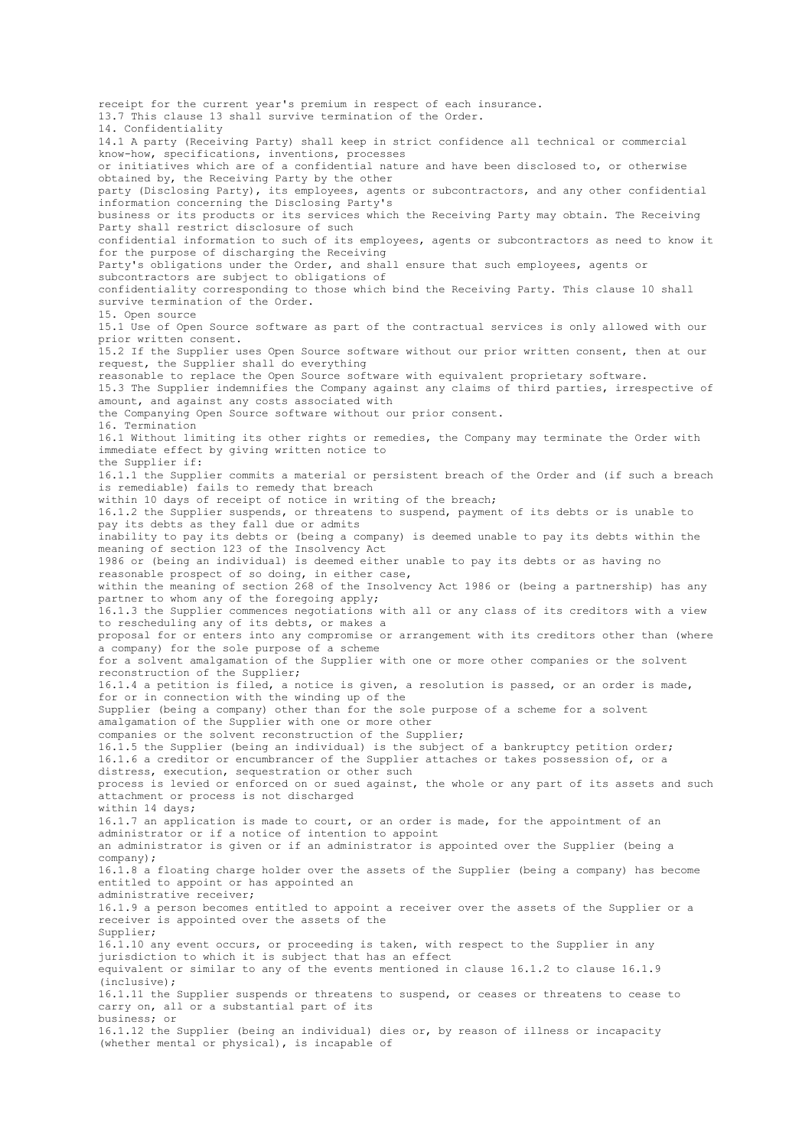receipt for the current year's premium in respect of each insurance. 13.7 This clause 13 shall survive termination of the Order. 14. Confidentiality 14.1 A party (Receiving Party) shall keep in strict confidence all technical or commercial know-how, specifications, inventions, processes or initiatives which are of a confidential nature and have been disclosed to, or otherwise obtained by, the Receiving Party by the other party (Disclosing Party), its employees, agents or subcontractors, and any other confidential information concerning the Disclosing Party's business or its products or its services which the Receiving Party may obtain. The Receiving Party shall restrict disclosure of such confidential information to such of its employees, agents or subcontractors as need to know it for the purpose of discharging the Receiving Party's obligations under the Order, and shall ensure that such employees, agents or subcontractors are subject to obligations of confidentiality corresponding to those which bind the Receiving Party. This clause 10 shall survive termination of the Order. 15. Open source 15.1 Use of Open Source software as part of the contractual services is only allowed with our prior written consent. 15.2 If the Supplier uses Open Source software without our prior written consent, then at our request, the Supplier shall do everything reasonable to replace the Open Source software with equivalent proprietary software. 15.3 The Supplier indemnifies the Company against any claims of third parties, irrespective of amount, and against any costs associated with the Companying Open Source software without our prior consent. 16. Termination 16.1 Without limiting its other rights or remedies, the Company may terminate the Order with immediate effect by giving written notice to the Supplier if: 16.1.1 the Supplier commits a material or persistent breach of the Order and (if such a breach is remediable) fails to remedy that breach within 10 days of receipt of notice in writing of the breach; 16.1.2 the Supplier suspends, or threatens to suspend, payment of its debts or is unable to pay its debts as they fall due or admits inability to pay its debts or (being a company) is deemed unable to pay its debts within the meaning of section 123 of the Insolvency Act 1986 or (being an individual) is deemed either unable to pay its debts or as having no reasonable prospect of so doing, in either case, within the meaning of section 268 of the Insolvency Act 1986 or (being a partnership) has any partner to whom any of the foregoing apply; 16.1.3 the Supplier commences negotiations with all or any class of its creditors with a view to rescheduling any of its debts, or makes a proposal for or enters into any compromise or arrangement with its creditors other than (where a company) for the sole purpose of a scheme for a solvent amalgamation of the Supplier with one or more other companies or the solvent reconstruction of the Supplier; 16.1.4 a petition is filed, a notice is given, a resolution is passed, or an order is made, for or in connection with the winding up of the Supplier (being a company) other than for the sole purpose of a scheme for a solvent amalgamation of the Supplier with one or more other companies or the solvent reconstruction of the Supplier; 16.1.5 the Supplier (being an individual) is the subject of a bankruptcy petition order; 16.1.6 a creditor or encumbrancer of the Supplier attaches or takes possession of, or a distress, execution, sequestration or other such process is levied or enforced on or sued against, the whole or any part of its assets and such attachment or process is not discharged within 14 days; 16.1.7 an application is made to court, or an order is made, for the appointment of an administrator or if a notice of intention to appoint an administrator is given or if an administrator is appointed over the Supplier (being a company); 16.1.8 a floating charge holder over the assets of the Supplier (being a company) has become entitled to appoint or has appointed an administrative receiver; 16.1.9 a person becomes entitled to appoint a receiver over the assets of the Supplier or a receiver is appointed over the assets of the Supplier; 16.1.10 any event occurs, or proceeding is taken, with respect to the Supplier in any jurisdiction to which it is subject that has an effect equivalent or similar to any of the events mentioned in clause 16.1.2 to clause 16.1.9 (inclusive); 16.1.11 the Supplier suspends or threatens to suspend, or ceases or threatens to cease to carry on, all or a substantial part of its business; or 16.1.12 the Supplier (being an individual) dies or, by reason of illness or incapacity (whether mental or physical), is incapable of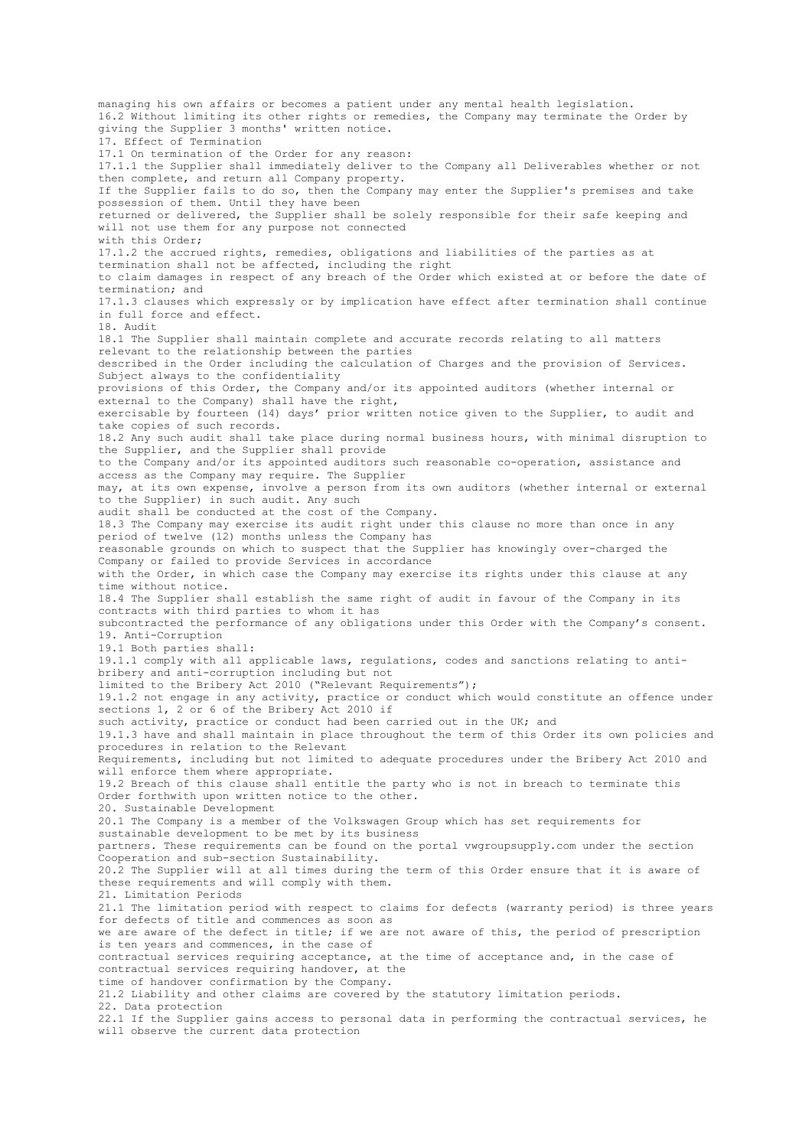managing his own affairs or becomes a patient under any mental health legislation. 16.2 Without limiting its other rights or remedies, the Company may terminate the Order by giving the Supplier 3 months' written notice. 17. Effect of Termination 17.1 On termination of the Order for any reason: 17.1.1 the Supplier shall immediately deliver to the Company all Deliverables whether or not then complete, and return all Company property. If the Supplier fails to do so, then the Company may enter the Supplier's premises and take possession of them. Until they have been returned or delivered, the Supplier shall be solely responsible for their safe keeping and will not use them for any purpose not connected with this Order; 17.1.2 the accrued rights, remedies, obligations and liabilities of the parties as at termination shall not be affected, including the right to claim damages in respect of any breach of the Order which existed at or before the date of termination; and 17.1.3 clauses which expressly or by implication have effect after termination shall continue in full force and effect. 18. Audit 18.1 The Supplier shall maintain complete and accurate records relating to all matters relevant to the relationship between the parties described in the Order including the calculation of Charges and the provision of Services. Subject always to the confidentiality provisions of this Order, the Company and/or its appointed auditors (whether internal or external to the Company) shall have the right, exercisable by fourteen (14) days' prior written notice given to the Supplier, to audit and take copies of such records. 18.2 Any such audit shall take place during normal business hours, with minimal disruption to the Supplier, and the Supplier shall provide to the Company and/or its appointed auditors such reasonable co-operation, assistance and access as the Company may require. The Supplier may, at its own expense, involve a person from its own auditors (whether internal or external to the Supplier) in such audit. Any such audit shall be conducted at the cost of the Company. 18.3 The Company may exercise its audit right under this clause no more than once in any period of twelve (12) months unless the Company has reasonable grounds on which to suspect that the Supplier has knowingly over-charged the Company or failed to provide Services in accordance with the Order, in which case the Company may exercise its rights under this clause at any time without notice. 18.4 The Supplier shall establish the same right of audit in favour of the Company in its contracts with third parties to whom it has subcontracted the performance of any obligations under this Order with the Company's consent. 19. Anti-Corruption 19.1 Both parties shall: 19.1.1 comply with all applicable laws, regulations, codes and sanctions relating to antibribery and anti-corruption including but not limited to the Bribery Act 2010 ("Relevant Requirements"); 19.1.2 not engage in any activity, practice or conduct which would constitute an offence under sections 1, 2 or 6 of the Bribery Act 2010 if such activity, practice or conduct had been carried out in the UK; and 19.1.3 have and shall maintain in place throughout the term of this Order its own policies and procedures in relation to the Relevant Requirements, including but not limited to adequate procedures under the Bribery Act 2010 and will enforce them where appropriate. 19.2 Breach of this clause shall entitle the party who is not in breach to terminate this Order forthwith upon written notice to the other. 20. Sustainable Development 20.1 The Company is a member of the Volkswagen Group which has set requirements for sustainable development to be met by its business partners. These requirements can be found on the portal vwgroupsupply.com under the section Cooperation and sub-section Sustainability. 20.2 The Supplier will at all times during the term of this Order ensure that it is aware of these requirements and will comply with them. 21. Limitation Periods 21.1 The limitation period with respect to claims for defects (warranty period) is three years for defects of title and commences as soon as we are aware of the defect in title; if we are not aware of this, the period of prescription is ten years and commences, in the case of contractual services requiring acceptance, at the time of acceptance and, in the case of contractual services requiring handover, at the time of handover confirmation by the Company. 21.2 Liability and other claims are covered by the statutory limitation periods. 22. Data protection 22.1 If the Supplier gains access to personal data in performing the contractual services, he will observe the current data protection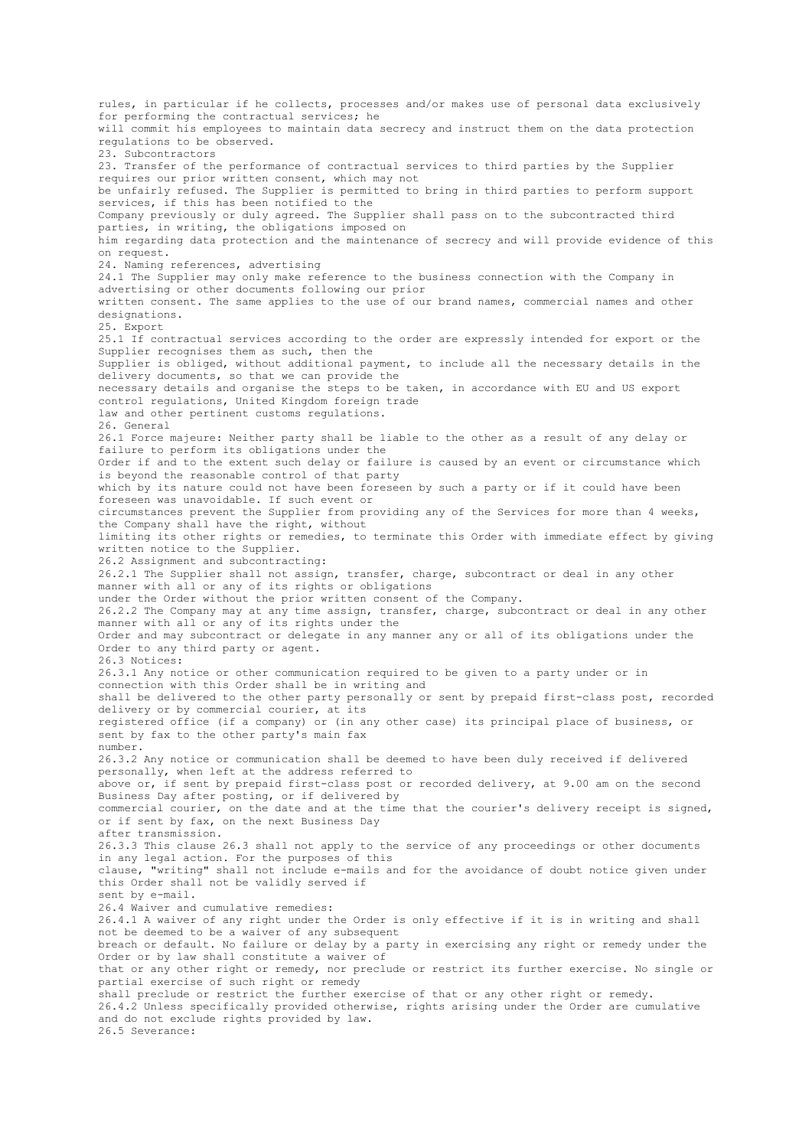rules, in particular if he collects, processes and/or makes use of personal data exclusively for performing the contractual services; he will commit his employees to maintain data secrecy and instruct them on the data protection regulations to be observed. 23. Subcontractors 23. Transfer of the performance of contractual services to third parties by the Supplier requires our prior written consent, which may not be unfairly refused. The Supplier is permitted to bring in third parties to perform support services, if this has been notified to the Company previously or duly agreed. The Supplier shall pass on to the subcontracted third parties, in writing, the obligations imposed on him regarding data protection and the maintenance of secrecy and will provide evidence of this on request. 24. Naming references, advertising 24.1 The Supplier may only make reference to the business connection with the Company in advertising or other documents following our prior written consent. The same applies to the use of our brand names, commercial names and other designations. 25. Export 25.1 If contractual services according to the order are expressly intended for export or the Supplier recognises them as such, then the Supplier is obliged, without additional payment, to include all the necessary details in the delivery documents, so that we can provide the necessary details and organise the steps to be taken, in accordance with EU and US export control regulations, United Kingdom foreign trade law and other pertinent customs regulations. 26. General 26.1 Force majeure: Neither party shall be liable to the other as a result of any delay or failure to perform its obligations under the Order if and to the extent such delay or failure is caused by an event or circumstance which is beyond the reasonable control of that party which by its nature could not have been foreseen by such a party or if it could have been foreseen was unavoidable. If such event or circumstances prevent the Supplier from providing any of the Services for more than 4 weeks, the Company shall have the right, without limiting its other rights or remedies, to terminate this Order with immediate effect by giving written notice to the Supplier. 26.2 Assignment and subcontracting: 26.2.1 The Supplier shall not assign, transfer, charge, subcontract or deal in any other manner with all or any of its rights or obligations under the Order without the prior written consent of the Company. 26.2.2 The Company may at any time assign, transfer, charge, subcontract or deal in any other manner with all or any of its rights under the Order and may subcontract or delegate in any manner any or all of its obligations under the Order to any third party or agent. 26.3 Notices: 26.3.1 Any notice or other communication required to be given to a party under or in connection with this Order shall be in writing and shall be delivered to the other party personally or sent by prepaid first-class post, recorded delivery or by commercial courier, at its registered office (if a company) or (in any other case) its principal place of business, or sent by fax to the other party's main fax number. 26.3.2 Any notice or communication shall be deemed to have been duly received if delivered personally, when left at the address referred to above or, if sent by prepaid first-class post or recorded delivery, at 9.00 am on the second Business Day after posting, or if delivered by commercial courier, on the date and at the time that the courier's delivery receipt is signed, or if sent by fax, on the next Business Day after transmission. 26.3.3 This clause 26.3 shall not apply to the service of any proceedings or other documents in any legal action. For the purposes of this clause, "writing" shall not include e-mails and for the avoidance of doubt notice given under this Order shall not be validly served if sent by e-mail. 26.4 Waiver and cumulative remedies: 26.4.1 A waiver of any right under the Order is only effective if it is in writing and shall not be deemed to be a waiver of any subsequent breach or default. No failure or delay by a party in exercising any right or remedy under the Order or by law shall constitute a waiver of that or any other right or remedy, nor preclude or restrict its further exercise. No single or partial exercise of such right or remedy shall preclude or restrict the further exercise of that or any other right or remedy. 26.4.2 Unless specifically provided otherwise, rights arising under the Order are cumulative and do not exclude rights provided by law. 26.5 Severance: